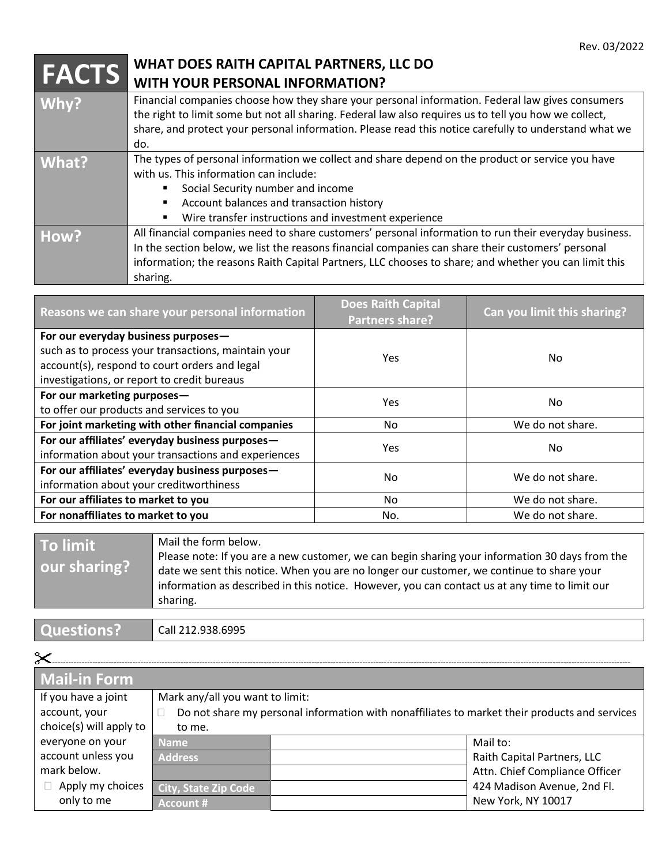| <b>FACTS</b> | WHAT DOES RAITH CAPITAL PARTNERS, LLC DO<br><b>WITH YOUR PERSONAL INFORMATION?</b>                                                                                                                        |
|--------------|-----------------------------------------------------------------------------------------------------------------------------------------------------------------------------------------------------------|
| Why?         | Financial companies choose how they share your personal information. Federal law gives consumers<br>the right to limit some but not all sharing. Federal law also requires us to tell you how we collect, |
|              | share, and protect your personal information. Please read this notice carefully to understand what we                                                                                                     |
|              | do.                                                                                                                                                                                                       |
| What?        | The types of personal information we collect and share depend on the product or service you have                                                                                                          |
|              | with us. This information can include:                                                                                                                                                                    |
|              | Social Security number and income                                                                                                                                                                         |
|              | Account balances and transaction history<br>٠                                                                                                                                                             |
|              | Wire transfer instructions and investment experience                                                                                                                                                      |
| How?         | All financial companies need to share customers' personal information to run their everyday business.                                                                                                     |
|              | In the section below, we list the reasons financial companies can share their customers' personal                                                                                                         |
|              | information; the reasons Raith Capital Partners, LLC chooses to share; and whether you can limit this                                                                                                     |
|              | sharing.                                                                                                                                                                                                  |

| Reasons we can share your personal information      | <b>Does Raith Capital</b><br><b>Partners share?</b> | Can you limit this sharing? |
|-----------------------------------------------------|-----------------------------------------------------|-----------------------------|
| For our everyday business purposes-                 |                                                     |                             |
| such as to process your transactions, maintain your | Yes.                                                | No.                         |
| account(s), respond to court orders and legal       |                                                     |                             |
| investigations, or report to credit bureaus         |                                                     |                             |
| For our marketing purposes-                         | Yes.                                                | No                          |
| to offer our products and services to you           |                                                     |                             |
| For joint marketing with other financial companies  | No.                                                 | We do not share.            |
| For our affiliates' everyday business purposes-     | Yes.                                                | No.                         |
| information about your transactions and experiences |                                                     |                             |
| For our affiliates' everyday business purposes-     | No.                                                 | We do not share.            |
| information about your creditworthiness             |                                                     |                             |
| For our affiliates to market to you                 | No.                                                 | We do not share.            |
| For nonaffiliates to market to you                  | No.                                                 | We do not share.            |
|                                                     |                                                     |                             |

| To limit<br>our sharing? | Mail the form below.<br>Please note: If you are a new customer, we can begin sharing your information 30 days from the<br>date we sent this notice. When you are no longer our customer, we continue to share your<br>information as described in this notice. However, you can contact us at any time to limit our<br>sharing. |
|--------------------------|---------------------------------------------------------------------------------------------------------------------------------------------------------------------------------------------------------------------------------------------------------------------------------------------------------------------------------|
|                          |                                                                                                                                                                                                                                                                                                                                 |

**Questions?** Call 212.938.6995

| <b>Mail-in Form</b>     |                                                                                               |  |                                |
|-------------------------|-----------------------------------------------------------------------------------------------|--|--------------------------------|
| If you have a joint     | Mark any/all you want to limit:                                                               |  |                                |
| account, your           | Do not share my personal information with nonaffiliates to market their products and services |  |                                |
| choice(s) will apply to | to me.                                                                                        |  |                                |
| everyone on your        | <b>Name</b>                                                                                   |  | Mail to:                       |
| account unless you      | <b>Address</b>                                                                                |  | Raith Capital Partners, LLC    |
| mark below.             |                                                                                               |  | Attn. Chief Compliance Officer |
| Apply my choices        | <b>City, State Zip Code</b>                                                                   |  | 424 Madison Avenue, 2nd Fl.    |
| only to me              | <b>Account #</b>                                                                              |  | New York, NY 10017             |